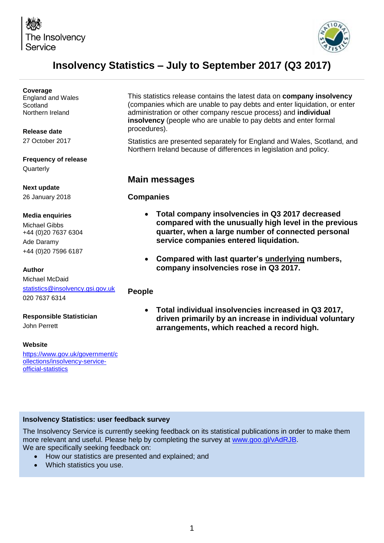



# **Insolvency Statistics – July to September 2017 (Q3 2017)**

| Coverage                                        |                                                                                                                                                                           |  |  |  |  |
|-------------------------------------------------|---------------------------------------------------------------------------------------------------------------------------------------------------------------------------|--|--|--|--|
| <b>England and Wales</b>                        | This statistics release contains the latest data on company insolvency                                                                                                    |  |  |  |  |
| Scotland                                        | (companies which are unable to pay debts and enter liquidation, or enter                                                                                                  |  |  |  |  |
| Northern Ireland                                | administration or other company rescue process) and individual<br>insolvency (people who are unable to pay debts and enter formal                                         |  |  |  |  |
|                                                 | procedures).                                                                                                                                                              |  |  |  |  |
| Release date                                    |                                                                                                                                                                           |  |  |  |  |
| 27 October 2017                                 | Statistics are presented separately for England and Wales, Scotland, and<br>Northern Ireland because of differences in legislation and policy.                            |  |  |  |  |
| <b>Frequency of release</b>                     |                                                                                                                                                                           |  |  |  |  |
| Quarterly                                       |                                                                                                                                                                           |  |  |  |  |
|                                                 | <b>Main messages</b>                                                                                                                                                      |  |  |  |  |
| <b>Next update</b>                              |                                                                                                                                                                           |  |  |  |  |
| 26 January 2018                                 | <b>Companies</b>                                                                                                                                                          |  |  |  |  |
| <b>Media enquiries</b>                          | Total company insolvencies in Q3 2017 decreased<br>$\bullet$                                                                                                              |  |  |  |  |
| <b>Michael Gibbs</b>                            | compared with the unusually high level in the previous                                                                                                                    |  |  |  |  |
| +44 (0)20 7637 6304                             | quarter, when a large number of connected personal                                                                                                                        |  |  |  |  |
| Ade Daramy                                      | service companies entered liquidation.                                                                                                                                    |  |  |  |  |
| +44 (0)20 7596 6187                             |                                                                                                                                                                           |  |  |  |  |
|                                                 | Compared with last quarter's underlying numbers,<br>$\bullet$                                                                                                             |  |  |  |  |
| <b>Author</b>                                   | company insolvencies rose in Q3 2017.                                                                                                                                     |  |  |  |  |
| Michael McDaid                                  |                                                                                                                                                                           |  |  |  |  |
| statistics@insolvency.gsi.gov.uk                | <b>People</b>                                                                                                                                                             |  |  |  |  |
| 020 7637 6314                                   |                                                                                                                                                                           |  |  |  |  |
| <b>Responsible Statistician</b><br>John Perrett | Total individual insolvencies increased in Q3 2017,<br>$\bullet$<br>driven primarily by an increase in individual voluntary<br>arrangements, which reached a record high. |  |  |  |  |
|                                                 |                                                                                                                                                                           |  |  |  |  |

#### **Website**

[https://www.gov.uk/government/c](https://www.gov.uk/government/collections/insolvency-service-official-statistics) [ollections/insolvency-service](https://www.gov.uk/government/collections/insolvency-service-official-statistics)[official-statistics](https://www.gov.uk/government/collections/insolvency-service-official-statistics)

#### **Insolvency Statistics: user feedback survey**

The Insolvency Service is currently seeking feedback on its statistical publications in order to make them more relevant and useful. Please help by completing the survey at [www.goo.gl/vAdRJB.](http://www.goo.gl/vAdRJB) We are specifically seeking feedback on:

- How our statistics are presented and explained; and
- Which statistics you use.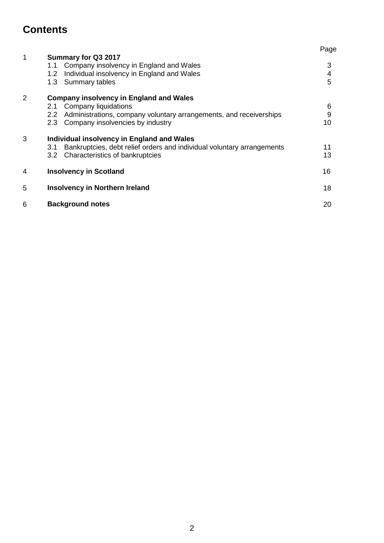# **Contents**

|                |                                                                                                                                                  | Page        |
|----------------|--------------------------------------------------------------------------------------------------------------------------------------------------|-------------|
| 1              | Summary for Q3 2017<br>Company insolvency in England and Wales<br>1.1<br>Individual insolvency in England and Wales<br>1.2<br>1.3 Summary tables | 3<br>4<br>5 |
| $\overline{2}$ | <b>Company insolvency in England and Wales</b>                                                                                                   |             |
|                | <b>Company liquidations</b><br>2.1                                                                                                               | 6           |
|                | Administrations, company voluntary arrangements, and receiverships<br>2.2                                                                        | $9\,$       |
|                | Company insolvencies by industry<br>2.3                                                                                                          | 10          |
| 3              | Individual insolvency in England and Wales                                                                                                       |             |
|                | Bankruptcies, debt relief orders and individual voluntary arrangements<br>3.1                                                                    | 11          |
|                | 3.2 Characteristics of bankruptcies                                                                                                              | 13          |
| 4              | <b>Insolvency in Scotland</b>                                                                                                                    | 16          |
| 5              | <b>Insolvency in Northern Ireland</b>                                                                                                            | 18          |
| 6              | <b>Background notes</b>                                                                                                                          | 20          |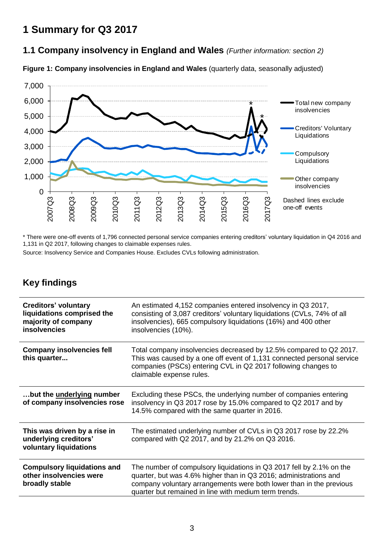# **1 Summary for Q3 2017**

## **1.1 Company insolvency in England and Wales** *(Further information: section 2)*

**Figure 1: Company insolvencies in England and Wales** (quarterly data, seasonally adjusted)



\* There were one-off events of 1,796 connected personal service companies entering creditors' voluntary liquidation in Q4 2016 and 1,131 in Q2 2017, following changes to claimable expenses rules.

Source: Insolvency Service and Companies House. Excludes CVLs following administration.

## **Key findings**

| <b>Creditors' voluntary</b><br>liquidations comprised the<br>majority of company<br><b>insolvencies</b> | An estimated 4,152 companies entered insolvency in Q3 2017,<br>consisting of 3,087 creditors' voluntary liquidations (CVLs, 74% of all<br>insolvencies), 665 compulsory liquidations (16%) and 400 other<br>insolvencies (10%).                                           |
|---------------------------------------------------------------------------------------------------------|---------------------------------------------------------------------------------------------------------------------------------------------------------------------------------------------------------------------------------------------------------------------------|
| <b>Company insolvencies fell</b><br>this quarter                                                        | Total company insolvencies decreased by 12.5% compared to Q2 2017.<br>This was caused by a one off event of 1,131 connected personal service<br>companies (PSCs) entering CVL in Q2 2017 following changes to<br>claimable expense rules.                                 |
| but the underlying number<br>of company insolvencies rose                                               | Excluding these PSCs, the underlying number of companies entering<br>insolvency in Q3 2017 rose by 15.0% compared to Q2 2017 and by<br>14.5% compared with the same quarter in 2016.                                                                                      |
| This was driven by a rise in<br>underlying creditors'<br>voluntary liquidations                         | The estimated underlying number of CVLs in Q3 2017 rose by 22.2%<br>compared with Q2 2017, and by 21.2% on Q3 2016.                                                                                                                                                       |
| <b>Compulsory liquidations and</b><br>other insolvencies were<br>broadly stable                         | The number of compulsory liquidations in Q3 2017 fell by 2.1% on the<br>quarter, but was 4.6% higher than in Q3 2016; administrations and<br>company voluntary arrangements were both lower than in the previous<br>quarter but remained in line with medium term trends. |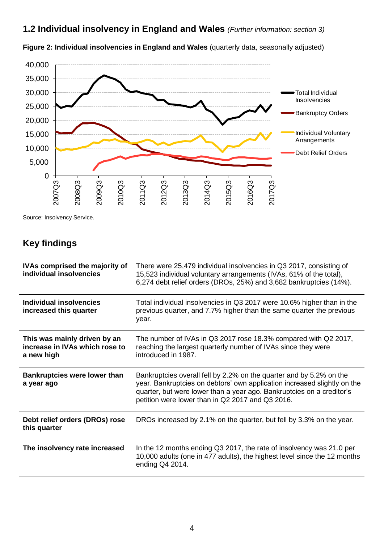**1.2 Individual insolvency in England and Wales** *(Further information: section 3)*



**Figure 2: Individual insolvencies in England and Wales** (quarterly data, seasonally adjusted)

Source: Insolvency Service.

## **Key findings**

| <b>IVAs comprised the majority of</b><br>individual insolvencies             | There were 25,479 individual insolvencies in Q3 2017, consisting of<br>15,523 individual voluntary arrangements (IVAs, 61% of the total),<br>6,274 debt relief orders (DROs, 25%) and 3,682 bankruptcies (14%).                                                              |  |  |  |  |
|------------------------------------------------------------------------------|------------------------------------------------------------------------------------------------------------------------------------------------------------------------------------------------------------------------------------------------------------------------------|--|--|--|--|
| Individual insolvencies<br>increased this quarter                            | Total individual insolvencies in Q3 2017 were 10.6% higher than in the<br>previous quarter, and 7.7% higher than the same quarter the previous<br>year.                                                                                                                      |  |  |  |  |
| This was mainly driven by an<br>increase in IVAs which rose to<br>a new high | The number of IVAs in Q3 2017 rose 18.3% compared with Q2 2017,<br>reaching the largest quarterly number of IVAs since they were<br>introduced in 1987.                                                                                                                      |  |  |  |  |
| <b>Bankruptcies were lower than</b><br>a year ago                            | Bankruptcies overall fell by 2.2% on the quarter and by 5.2% on the<br>year. Bankruptcies on debtors' own application increased slightly on the<br>quarter, but were lower than a year ago. Bankruptcies on a creditor's<br>petition were lower than in Q2 2017 and Q3 2016. |  |  |  |  |
| Debt relief orders (DROs) rose<br>this quarter                               | DROs increased by 2.1% on the quarter, but fell by 3.3% on the year.                                                                                                                                                                                                         |  |  |  |  |
| The insolvency rate increased                                                | In the 12 months ending Q3 2017, the rate of insolvency was 21.0 per<br>10,000 adults (one in 477 adults), the highest level since the 12 months<br>ending Q4 2014.                                                                                                          |  |  |  |  |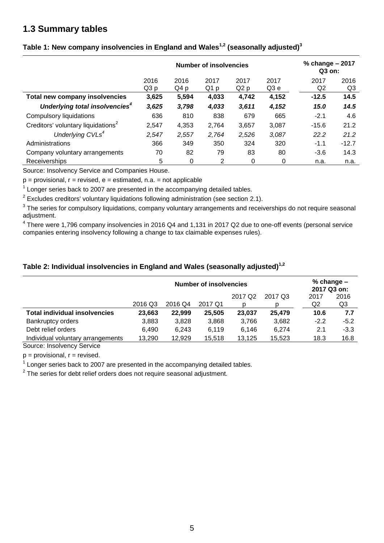### **1.3 Summary tables**

|                                                | <b>Number of insolvencies</b> |              |              |              |              |                        | % change - 2017<br>Q3 on: |  |
|------------------------------------------------|-------------------------------|--------------|--------------|--------------|--------------|------------------------|---------------------------|--|
|                                                | 2016<br>Q3p                   | 2016<br>Q4 p | 2017<br>Q1 p | 2017<br>Q2 p | 2017<br>Q3 e | 2017<br>Q <sub>2</sub> | 2016<br>Q3                |  |
| Total new company insolvencies                 | 3,625                         | 5,594        | 4,033        | 4,742        | 4,152        | $-12.5$                | 14.5                      |  |
| Underlying total insolvencies <sup>4</sup>     | 3,625                         | 3,798        | 4,033        | 3,611        | 4,152        | 15.0                   | 14.5                      |  |
| Compulsory liquidations                        | 636                           | 810          | 838          | 679          | 665          | $-2.1$                 | 4.6                       |  |
| Creditors' voluntary liquidations <sup>2</sup> | 2,547                         | 4,353        | 2,764        | 3,657        | 3,087        | $-15.6$                | 21.2                      |  |
| Underlying CVLs <sup>4</sup>                   | 2,547                         | 2,557        | 2,764        | 2,526        | 3,087        | 22.2                   | 21.2                      |  |
| Administrations                                | 366                           | 349          | 350          | 324          | 320          | $-1.1$                 | $-12.7$                   |  |
| Company voluntary arrangements                 | 70                            | 82           | 79           | 83           | 80           | $-3.6$                 | 14.3                      |  |
| <b>Receiverships</b>                           | 5                             | 0            | 2            | 0            | 0            | n.a.                   | n.a.                      |  |

#### **Table 1: New company insolvencies in England and Wales1,2 (seasonally adjusted)<sup>3</sup>**

Source: Insolvency Service and Companies House.

 $p =$  provisional,  $r =$  revised,  $e =$  estimated, n.a. = not applicable

 $1$  Longer series back to 2007 are presented in the accompanying detailed tables.

 $2$  Excludes creditors' voluntary liquidations following administration (see section 2.1).

 $3$  The series for compulsory liquidations, company voluntary arrangements and receiverships do not require seasonal adjustment.

 $^4$  There were 1,796 company insolvencies in 2016 Q4 and 1,131 in 2017 Q2 due to one-off events (personal service companies entering insolvency following a change to tax claimable expenses rules).

#### **Table 2: Individual insolvencies in England and Wales (seasonally adjusted)1,2**

|                                                                                                        | <b>Number of insolvencies</b> |         |         |                     |         |        | % change $-$<br>2017 Q3 on: |  |  |
|--------------------------------------------------------------------------------------------------------|-------------------------------|---------|---------|---------------------|---------|--------|-----------------------------|--|--|
|                                                                                                        |                               |         |         | 2017 Q <sub>2</sub> | 2017 Q3 | 2017   | 2016                        |  |  |
|                                                                                                        | 2016 Q3                       | 2016 Q4 | 2017 Q1 |                     |         | Q2     | Q3                          |  |  |
| <b>Total individual insolvencies</b>                                                                   | 23.663                        | 22.999  | 25,505  | 23,037              | 25,479  | 10.6   | 7.7                         |  |  |
| <b>Bankruptcy orders</b>                                                                               | 3,883                         | 3,828   | 3,868   | 3,766               | 3,682   | $-2.2$ | $-5.2$                      |  |  |
| Debt relief orders                                                                                     | 6.490                         | 6,243   | 6,119   | 6.146               | 6,274   | 2.1    | $-3.3$                      |  |  |
| Individual voluntary arrangements                                                                      | 13,290                        | 12,929  | 15,518  | 13,125              | 15,523  | 18.3   | 16.8                        |  |  |
| $\mathbf{Q}$ and $\mathbf{Q}$ are the set of $\mathbf{Q}$ and $\mathbf{Q}$ are the set of $\mathbf{Q}$ |                               |         |         |                     |         |        |                             |  |  |

Source: Insolvency Service

 $p =$  provisional,  $r =$  revised.

 $1$  Longer series back to 2007 are presented in the accompanying detailed tables.

 $2$  The series for debt relief orders does not require seasonal adjustment.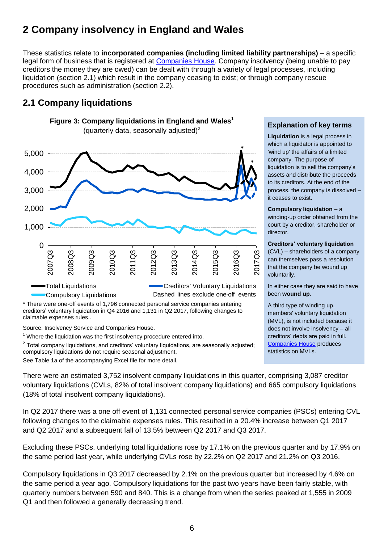# **2 Company insolvency in England and Wales**

These statistics relate to **incorporated companies (including limited liability partnerships)** – a specific legal form of business that is registered at [Companies House.](http://www.companieshouse.gov.uk/about/businessRegisterStat.shtml) Company insolvency (being unable to pay creditors the money they are owed) can be dealt with through a variety of legal processes, including liquidation (section 2.1) which result in the company ceasing to exist; or through company rescue procedures such as administration (section 2.2).

## **2.1 Company liquidations**



**Figure 3: Company liquidations in England and Wales<sup>1</sup>**

\* There were one-off events of 1,796 connected personal service companies entering creditors' voluntary liquidation in Q4 2016 and 1,131 in Q2 2017, following changes to claimable expenses rules..

Source: Insolvency Service and Companies House.

 $1$  Where the liquidation was the first insolvency procedure entered into.

 $2$  Total company liquidations, and creditors' voluntary liquidations, are seasonally adjusted; compulsory liquidations do not require seasonal adjustment.

See Table 1a of the accompanying Excel file for more detail.

#### **Explanation of key terms**

**Liquidation** is a legal process in which a liquidator is appointed to 'wind up' the affairs of a limited company. The purpose of liquidation is to sell the company's assets and distribute the proceeds to its creditors. At the end of the process, the company is dissolved – it ceases to exist.

#### **Compulsory liquidation** – a

winding-up order obtained from the court by a creditor, shareholder or director.

#### <span id="page-5-0"></span>**Creditors' voluntary liquidation**

(CVL) – shareholders of a company can themselves pass a resolution that the company be wound up voluntarily.

In either case they are said to have been **wound up**.

A third type of winding up, members' voluntary liquidation (MVL), is not included because it does not involve insolvency – all creditors' debts are paid in full. [Companies House](http://www.companieshouse.gov.uk/about/businessRegisterStat.shtml) produces statistics on MVLs.

There were an estimated 3,752 insolvent company liquidations in this quarter, comprising 3,087 creditor voluntary liquidations (CVLs, 82% of total insolvent company liquidations) and 665 compulsory liquidations (18% of total insolvent company liquidations).

In Q2 2017 there was a one off event of 1,131 connected personal service companies (PSCs) entering CVL following changes to the claimable expenses rules. This resulted in a 20.4% increase between Q1 2017 and Q2 2017 and a subsequent fall of 13.5% between Q2 2017 and Q3 2017.

Excluding these PSCs, underlying total liquidations rose by 17.1% on the previous quarter and by 17.9% on the same period last year, while underlying CVLs rose by 22.2% on Q2 2017 and 21.2% on Q3 2016.

Compulsory liquidations in Q3 2017 decreased by 2.1% on the previous quarter but increased by 4.6% on the same period a year ago. Compulsory liquidations for the past two years have been fairly stable, with quarterly numbers between 590 and 840. This is a change from when the series peaked at 1,555 in 2009 Q1 and then followed a generally decreasing trend.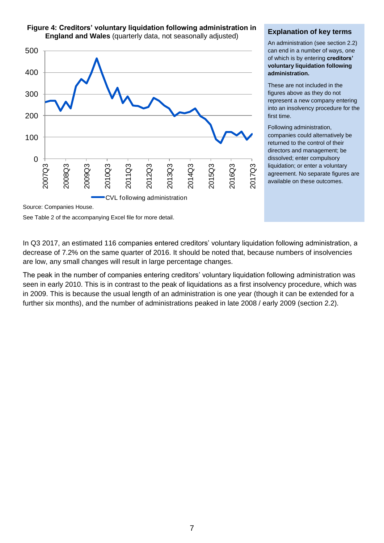

#### **Figure 4: Creditors' voluntary liquidation following administration in England and Wales** (quarterly data, not seasonally adjusted)

#### **Explanation of key terms**

An administration (see section 2.2) can end in a number of ways, one of which is by entering **creditors' voluntary liquidation following administration.**

These are not included in the figures above as they do not represent a new company entering into an insolvency procedure for the first time.

Following administration, companies could alternatively be returned to the control of their directors and management; be dissolved; enter compulsory liquidation; or enter a voluntary agreement. No separate figures are available on these outcomes.

Source: Companies House.

See Table 2 of the accompanying Excel file for more detail.

In Q3 2017, an estimated 116 companies entered creditors' voluntary liquidation following administration, a decrease of 7.2% on the same quarter of 2016. It should be noted that, because numbers of insolvencies are low, any small changes will result in large percentage changes.

The peak in the number of companies entering creditors' voluntary liquidation following administration was seen in early 2010. This is in contrast to the peak of liquidations as a first insolvency procedure, which was in 2009. This is because the usual length of an administration is one year (though it can be extended for a further six months), and the number of administrations peaked in late 2008 / early 2009 (section 2.2).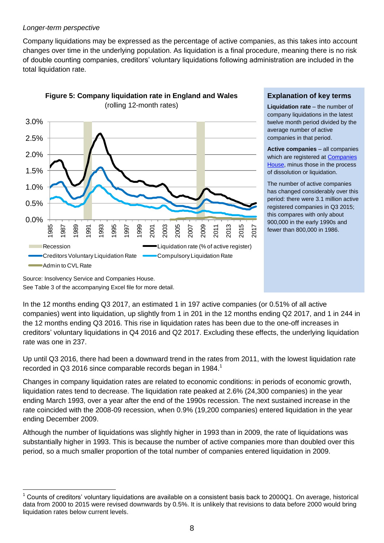#### *Longer-term perspective*

Company liquidations may be expressed as the percentage of active companies, as this takes into account changes over time in the underlying population. As liquidation is a final procedure, meaning there is no risk of double counting companies, creditors' voluntary liquidations following administration are included in the total liquidation rate.



**Figure 5: Company liquidation rate in England and Wales**

**Explanation of key terms**

**Liquidation rate** – the number of company liquidations in the latest twelve month period divided by the average number of active companies in that period.

**Active companies** – all companies which are registered at **Companies** [House,](http://www.companieshouse.gov.uk/about/businessRegisterStat.shtml) minus those in the process of dissolution or liquidation.

The number of active companies has changed considerably over this period: there were 3.1 million active registered companies in Q3 2015; this compares with only about 900,000 in the early 1990s and fewer than 800,000 in 1986.

Source: Insolvency Service and Companies House. See Table 3 of the accompanying Excel file for more detail.

 $\overline{a}$ 

In the 12 months ending Q3 2017, an estimated 1 in 197 active companies (or 0.51% of all active companies) went into liquidation, up slightly from 1 in 201 in the 12 months ending Q2 2017, and 1 in 244 in the 12 months ending Q3 2016. This rise in liquidation rates has been due to the one-off increases in creditors' voluntary liquidations in Q4 2016 and Q2 2017. Excluding these effects, the underlying liquidation rate was one in 237.

Up until Q3 2016, there had been a downward trend in the rates from 2011, with the lowest liquidation rate recorded in Q3 2016 since comparable records began in 1984.<sup>1</sup>

Changes in company liquidation rates are related to economic conditions: in periods of economic growth, liquidation rates tend to decrease. The liquidation rate peaked at 2.6% (24,300 companies) in the year ending March 1993, over a year after the end of the 1990s recession. The next sustained increase in the rate coincided with the 2008-09 recession, when 0.9% (19,200 companies) entered liquidation in the year ending December 2009.

Although the number of liquidations was slightly higher in 1993 than in 2009, the rate of liquidations was substantially higher in 1993. This is because the number of active companies more than doubled over this period, so a much smaller proportion of the total number of companies entered liquidation in 2009.

<sup>1</sup> Counts of creditors' voluntary liquidations are available on a consistent basis back to 2000Q1. On average, historical data from 2000 to 2015 were revised downwards by 0.5%. It is unlikely that revisions to data before 2000 would bring liquidation rates below current levels.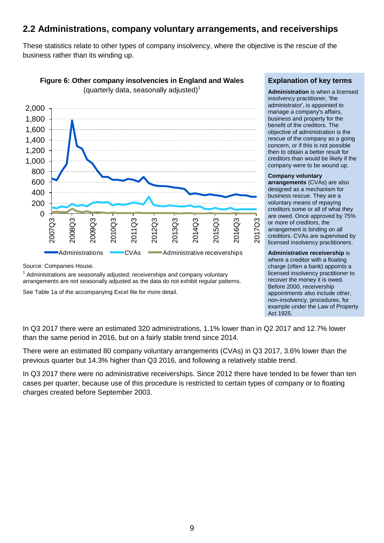### **2.2 Administrations, company voluntary arrangements, and receiverships**

These statistics relate to other types of company insolvency, where the objective is the rescue of the business rather than its winding up.



Source: Companies House.

 $1$  Administrations are seasonally adjusted; receiverships and company voluntary arrangements are not seasonally adjusted as the data do not exhibit regular patterns.

See Table 1a of the accompanying Excel file for more detail.

#### **Explanation of key terms**

**Administration** is when a licensed insolvency practitioner, 'the administrator', is appointed to manage a company's affairs, business and property for the benefit of the creditors. The objective of administration is the rescue of the company as a going concern, or if this is not possible then to obtain a better result for creditors than would be likely if the company were to be wound up.

#### **Company voluntary**

**arrangements** (CVAs) are also designed as a mechanism for business rescue. They are a voluntary means of repaying creditors some or all of what they are owed. Once approved by 75% or more of creditors, the arrangement is binding on all creditors. CVAs are supervised by licensed insolvency practitioners.

#### **Administrative receivership** is where a creditor with a floating

charge (often a bank) appoints a licensed insolvency practitioner to recover the money it is owed. Before 2000, receivership appointments also include other, non-insolvency, procedures, for example under the Law of Property Act 1925.

In Q3 2017 there were an estimated 320 administrations, 1.1% lower than in Q2 2017 and 12.7% lower than the same period in 2016, but on a fairly stable trend since 2014.

There were an estimated 80 company voluntary arrangements (CVAs) in Q3 2017, 3.6% lower than the previous quarter but 14.3% higher than Q3 2016, and following a relatively stable trend.

In Q3 2017 there were no administrative receiverships. Since 2012 there have tended to be fewer than ten cases per quarter, because use of this procedure is restricted to certain types of company or to floating charges created before September 2003.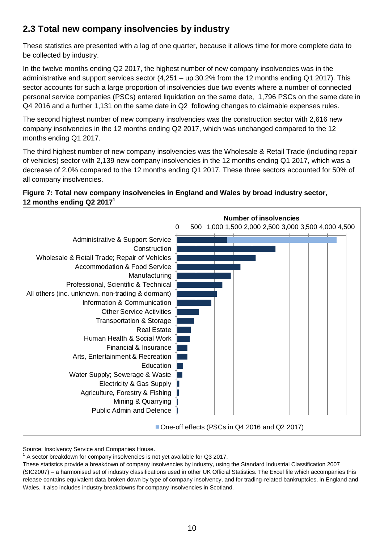## **2.3 Total new company insolvencies by industry**

These statistics are presented with a lag of one quarter, because it allows time for more complete data to be collected by industry.

In the twelve months ending Q2 2017, the highest number of new company insolvencies was in the administrative and support services sector (4,251 – up 30.2% from the 12 months ending Q1 2017). This sector accounts for such a large proportion of insolvencies due two events where a number of connected personal service companies (PSCs) entered liquidation on the same date, 1,796 PSCs on the same date in Q4 2016 and a further 1,131 on the same date in Q2 following changes to claimable expenses rules.

The second highest number of new company insolvencies was the construction sector with 2,616 new company insolvencies in the 12 months ending Q2 2017, which was unchanged compared to the 12 months ending Q1 2017.

The third highest number of new company insolvencies was the Wholesale & Retail Trade (including repair of vehicles) sector with 2,139 new company insolvencies in the 12 months ending Q1 2017, which was a decrease of 2.0% compared to the 12 months ending Q1 2017. These three sectors accounted for 50% of all company insolvencies.

#### **Figure 7: Total new company insolvencies in England and Wales by broad industry sector, 12 months ending Q2 2017 1**



Source: Insolvency Service and Companies House.

 $1$  A sector breakdown for company insolvencies is not yet available for Q3 2017.

These statistics provide a breakdown of company insolvencies by industry, using the Standard Industrial Classification 2007 (SIC2007) – a harmonised set of industry classifications used in other UK Official Statistics. The Excel file which accompanies this release contains equivalent data broken down by type of company insolvency, and for trading-related bankruptcies, in England and Wales. It also includes industry breakdowns for company insolvencies in Scotland.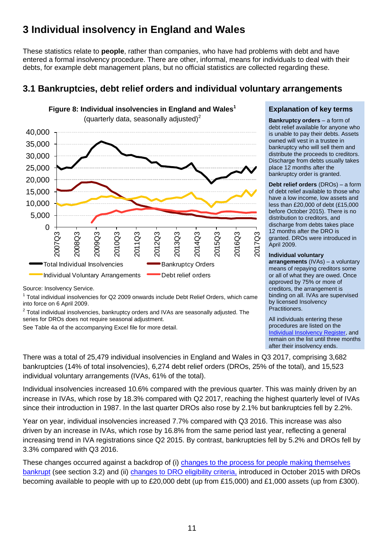# **3 Individual insolvency in England and Wales**

These statistics relate to **people**, rather than companies, who have had problems with debt and have entered a formal insolvency procedure. There are other, informal, means for individuals to deal with their debts, for example debt management plans, but no official statistics are collected regarding these.

## **3.1 Bankruptcies, debt relief orders and individual voluntary arrangements**



Source: Insolvency Service.

<sup>1</sup> Total individual insolvencies for Q2 2009 onwards include Debt Relief Orders, which came into force on 6 April 2009.

 $2$  Total individual insolvencies, bankruptcy orders and IVAs are seasonally adjusted. The series for DROs does not require seasonal adjustment.

See Table 4a of the accompanying Excel file for more detail.

#### **Explanation of key terms**

**Bankruptcy orders** – a form of debt relief available for anyone who is unable to pay their debts. Assets owned will vest in a trustee in bankruptcy who will sell them and distribute the proceeds to creditors. Discharge from debts usually takes place 12 months after the bankruptcy order is granted.

**Debt relief orders** (DROs) – a form of debt relief available to those who have a low income, low assets and less than £20,000 of debt (£15,000 before October 2015). There is no distribution to creditors, and discharge from debts takes place 12 months after the DRO is granted. DROs were introduced in April 2009.

#### **Individual voluntary**

**arrangements** (IVAs) – a voluntary means of repaying creditors some or all of what they are owed. Once approved by 75% or more of creditors, the arrangement is binding on all. IVAs are supervised by licensed Insolvency Practitioners.

All individuals entering these procedures are listed on the [Individual Insolvency Register,](https://www.gov.uk/search-bankruptcy-insolvency-register) and remain on the list until three months after their insolvency ends.

There was a total of 25,479 individual insolvencies in England and Wales in Q3 2017, comprising 3,682 bankruptcies (14% of total insolvencies), 6,274 debt relief orders (DROs, 25% of the total), and 15,523 individual voluntary arrangements (IVAs, 61% of the total).

Individual insolvencies increased 10.6% compared with the previous quarter. This was mainly driven by an increase in IVAs, which rose by 18.3% compared with Q2 2017, reaching the highest quarterly level of IVAs since their introduction in 1987. In the last quarter DROs also rose by 2.1% but bankruptcies fell by 2.2%.

Year on year, individual insolvencies increased 7.7% compared with Q3 2016. This increase was also driven by an increase in IVAs, which rose by 16.8% from the same period last year, reflecting a general increasing trend in IVA registrations since Q2 2015. By contrast, bankruptcies fell by 5.2% and DROs fell by 3.3% compared with Q3 2016.

These changes occurred against a backdrop of (i) [changes to the process for people making themselves](https://www.gov.uk/government/news/changes-to-the-bankruptcy-application-process-what-you-need-to-know)  [bankrupt](https://www.gov.uk/government/news/changes-to-the-bankruptcy-application-process-what-you-need-to-know) (see section 3.2) and (ii) [changes to DRO eligibility criteria,](https://www.gov.uk/government/news/more-help-for-people-with-personal-problem-debt) introduced in October 2015 with DROs becoming available to people with up to £20,000 debt (up from £15,000) and £1,000 assets (up from £300).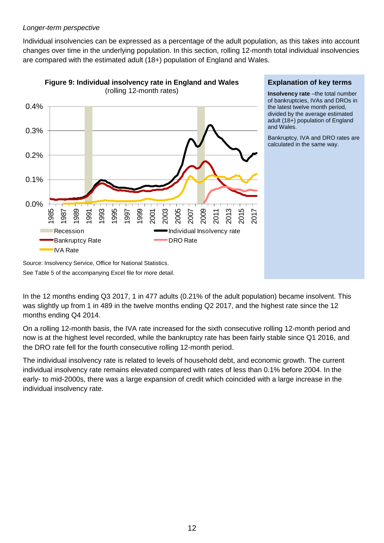#### *Longer-term perspective*

Individual insolvencies can be expressed as a percentage of the adult population, as this takes into account changes over time in the underlying population. In this section, rolling 12-month total individual insolvencies are compared with the estimated adult (18+) population of England and Wales.



**Figure 9: Individual insolvency rate in England and Wales** 

#### **Explanation of key terms**

**Insolvency rate** –the total number of bankruptcies, IVAs and DROs in the latest twelve month period, divided by the average estimated adult (18+) population of England and Wales.

Bankruptcy, IVA and DRO rates are calculated in the same way.

Source: Insolvency Service, Office for National Statistics. See Table 5 of the accompanying Excel file for more detail.

In the 12 months ending Q3 2017, 1 in 477 adults (0.21% of the adult population) became insolvent. This was slightly up from 1 in 489 in the twelve months ending Q2 2017, and the highest rate since the 12 months ending Q4 2014.

On a rolling 12-month basis, the IVA rate increased for the sixth consecutive rolling 12-month period and now is at the highest level recorded, while the bankruptcy rate has been fairly stable since Q1 2016, and the DRO rate fell for the fourth consecutive rolling 12-month period.

The individual insolvency rate is related to levels of household debt, and economic growth. The current individual insolvency rate remains elevated compared with rates of less than 0.1% before 2004. In the early- to mid-2000s, there was a large expansion of credit which coincided with a large increase in the individual insolvency rate.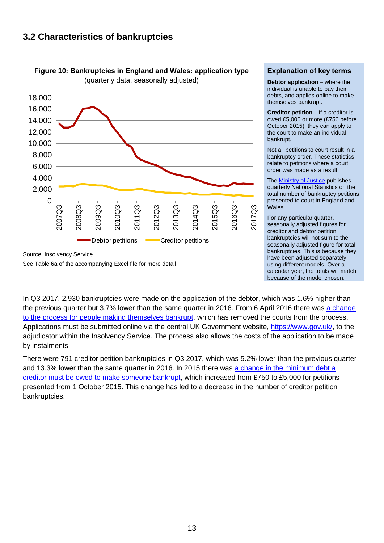### **3.2 Characteristics of bankruptcies**





Source: Insolvency Service.

See Table 6a of the accompanying Excel file for more detail.

#### **Explanation of key terms**

**Debtor application** – where the individual is unable to pay their debts, and applies online to make themselves bankrupt.

**Creditor petition** – if a creditor is owed £5,000 or more (£750 before October 2015), they can apply to the court to make an individual bankrupt.

Not all petitions to court result in a bankruptcy order. These statistics relate to petitions where a court order was made as a result.

The [Ministry of Justice](https://www.gov.uk/government/collections/civil-justice-statistics-quarterly) publishes quarterly National Statistics on the total number of bankruptcy petitions presented to court in England and Wales.

For any particular quarter, seasonally adjusted figures for creditor and debtor petition bankruptcies will not sum to the seasonally adjusted figure for total bankruptcies. This is because they have been adjusted separately using different models. Over a calendar year, the totals will match because of the model chosen.

In Q3 2017, 2,930 bankruptcies were made on the application of the debtor, which was 1.6% higher than the previous quarter but 3.7% lower than the same quarter in 2016. From 6 April 2016 there was [a change](https://www.gov.uk/government/news/changes-to-the-bankruptcy-application-process-what-you-need-to-know)  [to the process for people making themselves bankrupt,](https://www.gov.uk/government/news/changes-to-the-bankruptcy-application-process-what-you-need-to-know) which has removed the courts from the process. Applications must be submitted online via the central UK Government website, [https://www.gov.uk/,](https://www.gov.uk/) to the adjudicator within the Insolvency Service. The process also allows the costs of the application to be made by instalments.

There were 791 creditor petition bankruptcies in Q3 2017, which was 5.2% lower than the previous quarter and 13.3% lower than the same quarter in 2016. In 2015 there was [a change in the minimum debt a](https://www.gov.uk/government/news/more-help-for-people-with-personal-problem-debt)  [creditor must be owed to make someone bankrupt,](https://www.gov.uk/government/news/more-help-for-people-with-personal-problem-debt) which increased from £750 to £5,000 for petitions presented from 1 October 2015. This change has led to a decrease in the number of creditor petition bankruptcies.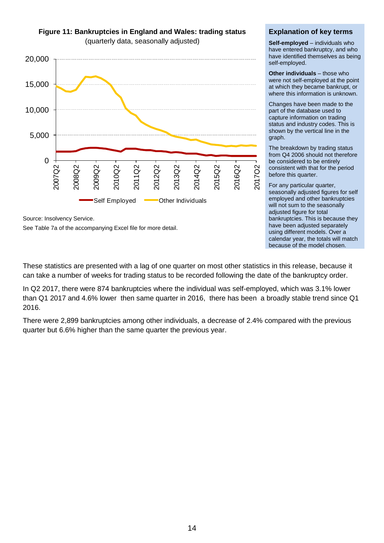

**Figure 11: Bankruptcies in England and Wales: trading status** 

See Table 7a of the accompanying Excel file for more detail.

#### **Explanation of key terms**

**Self-employed** – individuals who have entered bankruptcy, and who have identified themselves as being self-employed.

**Other individuals** – those who were not self-employed at the point at which they became bankrupt, or where this information is unknown.

Changes have been made to the part of the database used to capture information on trading status and industry codes. This is shown by the vertical line in the graph.

The breakdown by trading status from Q4 2006 should not therefore be considered to be entirely consistent with that for the period before this quarter.

For any particular quarter, seasonally adjusted figures for self employed and other bankruptcies will not sum to the seasonally adjusted figure for total bankruptcies. This is because they have been adjusted separately using different models. Over a calendar year, the totals will match because of the model chosen.

These statistics are presented with a lag of one quarter on most other statistics in this release, because it can take a number of weeks for trading status to be recorded following the date of the bankruptcy order.

In Q2 2017, there were 874 bankruptcies where the individual was self-employed, which was 3.1% lower than Q1 2017 and 4.6% lower then same quarter in 2016, there has been a broadly stable trend since Q1 2016.

There were 2,899 bankruptcies among other individuals, a decrease of 2.4% compared with the previous quarter but 6.6% higher than the same quarter the previous year.

Source: Insolvency Service.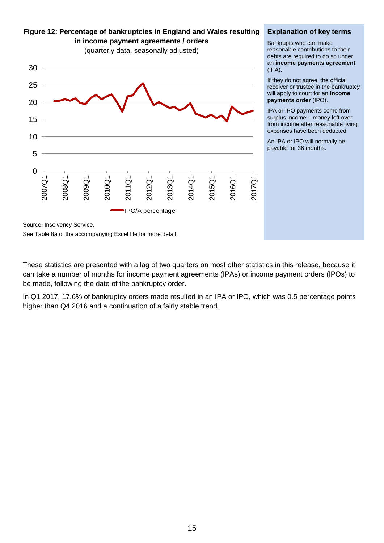0 5 10 15 20 25 30 2007Q1 2008Q1 2009Q1 2010Q1 2011Q1 2012Q1 2013Q1 2014Q1 2015Q 2016Q1 2017Q1 IPO/A percentage

**Figure 12: Percentage of bankruptcies in England and Wales resulting in income payment agreements / orders**  (quarterly data, seasonally adjusted)

#### **Explanation of key terms**

Bankrupts who can make reasonable contributions to their debts are required to do so under an **income payments agreement** (IPA).

If they do not agree, the official receiver or trustee in the bankruptcy will apply to court for an **income payments order** (IPO).

IPA or IPO payments come from surplus income – money left over from income after reasonable living expenses have been deducted.

An IPA or IPO will normally be payable for 36 months.

Source: Insolvency Service.

See Table 8a of the accompanying Excel file for more detail.

These statistics are presented with a lag of two quarters on most other statistics in this release, because it can take a number of months for income payment agreements (IPAs) or income payment orders (IPOs) to be made, following the date of the bankruptcy order.

In Q1 2017, 17.6% of bankruptcy orders made resulted in an IPA or IPO, which was 0.5 percentage points higher than Q4 2016 and a continuation of a fairly stable trend.

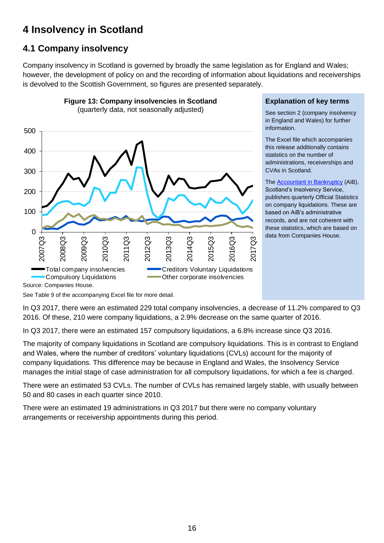# **4 Insolvency in Scotland**

## **4.1 Company insolvency**

Company insolvency in Scotland is governed by broadly the same legislation as for England and Wales; however, the development of policy on and the recording of information about liquidations and receiverships is devolved to the Scottish Government, so figures are presented separately.



**Figure 13: Company insolvencies in Scotland** 

#### **Explanation of key terms**

See section 2 (company insolvency in England and Wales) for further information.

The Excel file which accompanies this release additionally contains statistics on the number of administrations, receiverships and CVAs in Scotland.

The [Accountant in Bankruptcy](http://www.aib.gov.uk/) (AiB), Scotland's Insolvency Service, publishes quarterly Official Statistics on company liquidations. These are based on AiB's administrative records, and are not coherent with these statistics, which are based on data from Companies House.

See Table 9 of the accompanying Excel file for more detail.

In Q3 2017, there were an estimated 229 total company insolvencies, a decrease of 11.2% compared to Q3 2016. Of these, 210 were company liquidations, a 2.9% decrease on the same quarter of 2016.

In Q3 2017, there were an estimated 157 compulsory liquidations, a 6.8% increase since Q3 2016.

The majority of company liquidations in Scotland are compulsory liquidations. This is in contrast to England and Wales, where the number of creditors' voluntary liquidations (CVLs) account for the majority of company liquidations. This difference may be because in England and Wales, the Insolvency Service manages the initial stage of case administration for all compulsory liquidations, for which a fee is charged.

There were an estimated 53 CVLs. The number of CVLs has remained largely stable, with usually between 50 and 80 cases in each quarter since 2010.

There were an estimated 19 administrations in Q3 2017 but there were no company voluntary arrangements or receivership appointments during this period.

Source: Companies House.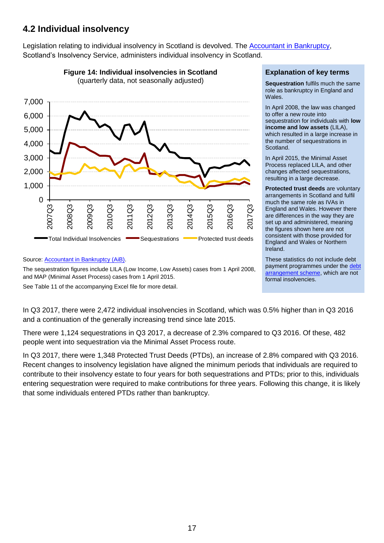## **4.2 Individual insolvency**

Legislation relating to individual insolvency in Scotland is devolved. The [Accountant in Bankruptcy,](http://www.aib.gov.uk/) Scotland's Insolvency Service, administers individual insolvency in Scotland.



Source: [Accountant in Bankruptcy \(AiB\).](https://www.aib.gov.uk/about-aib/statistics-data/quarterly-reports)

The sequestration figures include LILA (Low Income, Low Assets) cases from 1 April 2008, and MAP (Minimal Asset Process) cases from 1 April 2015.

See Table 11 of the accompanying Excel file for more detail.

In Q3 2017, there were 2,472 individual insolvencies in Scotland, which was 0.5% higher than in Q3 2016 and a continuation of the generally increasing trend since late 2015.

There were 1,124 sequestrations in Q3 2017, a decrease of 2.3% compared to Q3 2016. Of these, 482 people went into sequestration via the Minimal Asset Process route.

In Q3 2017, there were 1,348 Protected Trust Deeds (PTDs), an increase of 2.8% compared with Q3 2016. Recent changes to insolvency legislation have aligned the minimum periods that individuals are required to contribute to their insolvency estate to four years for both sequestrations and PTDs; prior to this, individuals entering sequestration were required to make contributions for three years. Following this change, it is likely that some individuals entered PTDs rather than bankruptcy.

#### **Explanation of key terms**

**Sequestration** fulfils much the same role as bankruptcy in England and Wales.

In April 2008, the law was changed to offer a new route into sequestration for individuals with **low income and low assets** (LILA), which resulted in a large increase in the number of sequestrations in Scotland.

In April 2015, the Minimal Asset Process replaced LILA, and other changes affected sequestrations, resulting in a large decrease.

**Protected trust deeds** are voluntary arrangements in Scotland and fulfil much the same role as IVAs in England and Wales. However there are differences in the way they are set up and administered, meaning the figures shown here are not consistent with those provided for England and Wales or Northern Ireland.

These statistics do not include debt payment programmes under the [debt](http://www.dasscotland.gov.uk/home)  [arrangement scheme,](http://www.dasscotland.gov.uk/home) which are not formal insolvencies.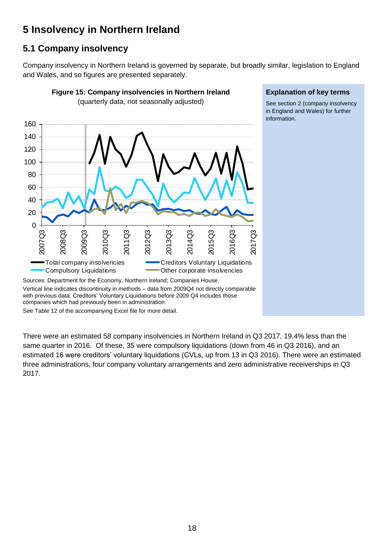# **5 Insolvency in Northern Ireland**

## **5.1 Company insolvency**

Company insolvency in Northern Ireland is governed by separate, but broadly similar, legislation to England and Wales, and so figures are presented separately.



#### **Explanation of key terms**

See section 2 (company insolvency in England and Wales) for further information.

with previous data. Creditors' Voluntary Liquidations before 2009 Q4 includes those companies which had previously been in administration.

See Table 12 of the accompanying Excel file for more detail.

There were an estimated 58 company insolvencies in Northern Ireland in Q3 2017, 19.4% less than the same quarter in 2016. Of these, 35 were compulsory liquidations (down from 46 in Q3 2016), and an estimated 16 were creditors' voluntary liquidations (CVLs, up from 13 in Q3 2016). There were an estimated three administrations, four company voluntary arrangements and zero administrative receiverships in Q3 2017.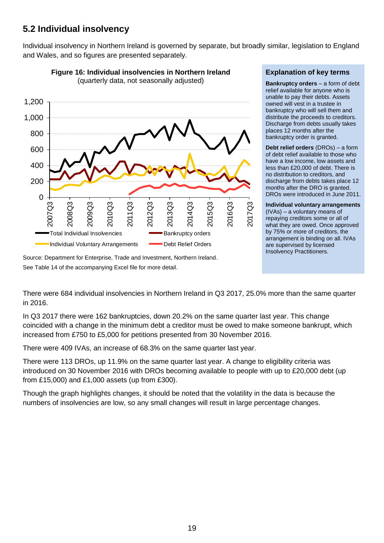## **5.2 Individual insolvency**

Individual insolvency in Northern Ireland is governed by separate, but broadly similar, legislation to England and Wales, and so figures are presented separately.





Source: Department for Enterprise, Trade and Investment, Northern Ireland. See Table 14 of the accompanying Excel file for more detail.

#### **Explanation of key terms**

**Bankruptcy orders** – a form of debt relief available for anyone who is unable to pay their debts. Assets owned will vest in a trustee in bankruptcy who will sell them and distribute the proceeds to creditors. Discharge from debts usually takes places 12 months after the bankruptcy order is granted.

**Debt relief orders** (DROs) – a form of debt relief available to those who have a low income, low assets and less than £20,000 of debt. There is no distribution to creditors, and discharge from debts takes place 12 months after the DRO is granted. DROs were introduced in June 2011.

### **Individual voluntary arrangements**

(IVAs) – a voluntary means of repaying creditors some or all of what they are owed. Once approved by 75% or more of creditors, the arrangement is binding on all. IVAs are supervised by licensed Insolvency Practitioners.

There were 684 individual insolvencies in Northern Ireland in Q3 2017, 25.0% more than the same quarter in 2016.

In Q3 2017 there were 162 bankruptcies, down 20.2% on the same quarter last year. This change coincided with a change in the minimum debt a creditor must be owed to make someone bankrupt, which increased from £750 to £5,000 for petitions presented from 30 November 2016.

There were 409 IVAs, an increase of 68.3% on the same quarter last year.

There were 113 DROs, up 11.9% on the same quarter last year. A change to eligibility criteria was introduced on 30 November 2016 with DROs becoming available to people with up to £20,000 debt (up from £15,000) and £1,000 assets (up from £300).

Though the graph highlights changes, it should be noted that the volatility in the data is because the numbers of insolvencies are low, so any small changes will result in large percentage changes.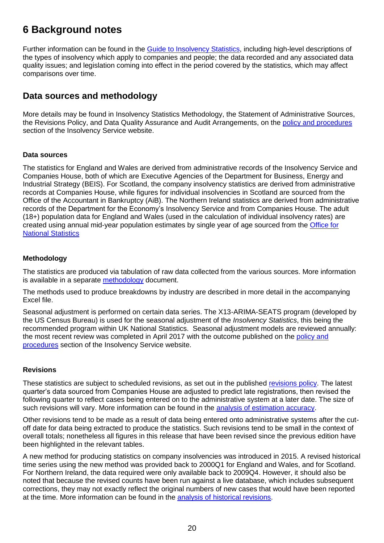# **6 Background notes**

Further information can be found in the [Guide to Insolvency Statistics,](https://www.gov.uk/government/collections/insolvency-service-official-statistics) including high-level descriptions of the types of insolvency which apply to companies and people; the data recorded and any associated data quality issues; and legislation coming into effect in the period covered by the statistics, which may affect comparisons over time.

### **Data sources and methodology**

More details may be found in Insolvency Statistics Methodology, the Statement of Administrative Sources, the Revisions Policy, and Data Quality Assurance and Audit Arrangements, on the [policy and procedures](https://www.gov.uk/government/publications/insolvency-statistics-policy-and-procedures) section of the Insolvency Service website.

#### **Data sources**

The statistics for England and Wales are derived from administrative records of the Insolvency Service and Companies House, both of which are Executive Agencies of the Department for Business, Energy and Industrial Strategy (BEIS). For Scotland, the company insolvency statistics are derived from administrative records at Companies House, while figures for individual insolvencies in Scotland are sourced from the Office of the Accountant in Bankruptcy (AiB). The Northern Ireland statistics are derived from administrative records of the Department for the Economy's Insolvency Service and from Companies House. The adult (18+) population data for England and Wales (used in the calculation of individual insolvency rates) are created using annual mid-year population estimates by single year of age sourced from the [Office for](http://www.ons.gov.uk/ons/taxonomy/index.html?nscl=Population+Estimates)  [National Statistics](http://www.ons.gov.uk/ons/taxonomy/index.html?nscl=Population+Estimates)

#### **Methodology**

The statistics are produced via tabulation of raw data collected from the various sources. More information is available in a separate [methodology](https://www.gov.uk/government/publications/insolvency-statistics-policy-and-procedures) document.

The methods used to produce breakdowns by industry are described in more detail in the accompanying Excel file.

Seasonal adjustment is performed on certain data series. The X13-ARIMA-SEATS program (developed by the US Census Bureau) is used for the seasonal adjustment of the *Insolvency Statistics*, this being the recommended program within UK National Statistics. Seasonal adjustment models are reviewed annually: the most recent review was completed in April 2017 with the outcome published on the [policy and](https://www.gov.uk/government/publications/insolvency-statistics-policy-and-procedures)  [procedures](https://www.gov.uk/government/publications/insolvency-statistics-policy-and-procedures) section of the Insolvency Service website.

#### **Revisions**

These statistics are subject to scheduled revisions, as set out in the published [revisions policy.](https://www.gov.uk/government/publications/insolvency-statistics-policy-and-procedures) The latest quarter's data sourced from Companies House are adjusted to predict late registrations, then revised the following quarter to reflect cases being entered on to the administrative system at a later date. The size of such revisions will vary. More information can be found in the [analysis of estimation accuracy.](https://www.gov.uk/government/publications/insolvency-statistics-policy-and-procedures)

Other revisions tend to be made as a result of data being entered onto administrative systems after the cutoff date for data being extracted to produce the statistics. Such revisions tend to be small in the context of overall totals; nonetheless all figures in this release that have been revised since the previous edition have been highlighted in the relevant tables.

A new method for producing statistics on company insolvencies was introduced in 2015. A revised historical time series using the new method was provided back to 2000Q1 for England and Wales, and for Scotland. For Northern Ireland, the data required were only available back to 2009Q4. However, it should also be noted that because the revised counts have been run against a live database, which includes subsequent corrections, they may not exactly reflect the original numbers of new cases that would have been reported at the time. More information can be found in the [analysis of historical revisions.](https://www.gov.uk/government/collections/insolvency-service-official-statistics)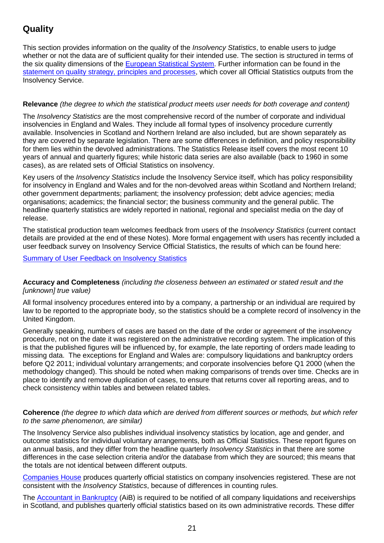## **Quality**

This section provides information on the quality of the *Insolvency Statistics*, to enable users to judge whether or not the data are of sufficient quality for their intended use. The section is structured in terms of the six quality dimensions of the [European Statistical](http://www.statistics.gr/portal/page/portal/ESYE/BUCKET/General/code_of_practice_en.pdf) System. Further information can be found in the [statement on quality strategy, principles and processes,](https://www.gov.uk/government/publications/insolvency-statistics-policy-and-procedures) which cover all Official Statistics outputs from the Insolvency Service.

#### **Relevance** *(the degree to which the statistical product meets user needs for both coverage and content)*

The *Insolvency Statistics* are the most comprehensive record of the number of corporate and individual insolvencies in England and Wales. They include all formal types of insolvency procedure currently available. Insolvencies in Scotland and Northern Ireland are also included, but are shown separately as they are covered by separate legislation. There are some differences in definition, and policy responsibility for them lies within the devolved administrations. The Statistics Release itself covers the most recent 10 years of annual and quarterly figures; while historic data series are also available (back to 1960 in some cases), as are related sets of Official Statistics on insolvency.

Key users of the *Insolvency Statistics* include the Insolvency Service itself, which has policy responsibility for insolvency in England and Wales and for the non-devolved areas within Scotland and Northern Ireland; other government departments; parliament; the insolvency profession; debt advice agencies; media organisations; academics; the financial sector; the business community and the general public. The headline quarterly statistics are widely reported in national, regional and specialist media on the day of release.

The statistical production team welcomes feedback from users of the *Insolvency Statistics* (current contact details are provided at the end of these Notes). More formal engagement with users has recently included a user feedback survey on Insolvency Service Official Statistics, the results of which can be found here:

#### [Summary of User Feedback on Insolvency Statistics](https://www.gov.uk/government/publications/insolvency-service-statistics-user-engagement-feedback)

#### **Accuracy and Completeness** *(including the closeness between an estimated or stated result and the [unknown] true value)*

All formal insolvency procedures entered into by a company, a partnership or an individual are required by law to be reported to the appropriate body, so the statistics should be a complete record of insolvency in the United Kingdom.

Generally speaking, numbers of cases are based on the date of the order or agreement of the insolvency procedure, not on the date it was registered on the administrative recording system. The implication of this is that the published figures will be influenced by, for example, the late reporting of orders made leading to missing data. The exceptions for England and Wales are: compulsory liquidations and bankruptcy orders before Q2 2011; individual voluntary arrangements; and corporate insolvencies before Q1 2000 (when the methodology changed). This should be noted when making comparisons of trends over time. Checks are in place to identify and remove duplication of cases, to ensure that returns cover all reporting areas, and to check consistency within tables and between related tables.

#### **Coherence** *(the degree to which data which are derived from different sources or methods, but which refer to the same phenomenon, are similar)*

The Insolvency Service also publishes individual insolvency statistics by location, age and gender, and outcome statistics for individual voluntary arrangements, both as Official Statistics. These report figures on an annual basis, and they differ from the headline quarterly *Insolvency Statistics* in that there are some differences in the case selection criteria and/or the database from which they are sourced; this means that the totals are not identical between different outputs.

[Companies House](http://www.companieshouse.gov.uk/about/businessRegisterStat.shtml) produces quarterly official statistics on company insolvencies registered. These are not consistent with the *Insolvency Statistics*, because of differences in counting rules.

The [Accountant in Bankruptcy](http://www.aib.gov.uk/) (AiB) is required to be notified of all company liquidations and receiverships in Scotland, and publishes quarterly official statistics based on its own administrative records. These differ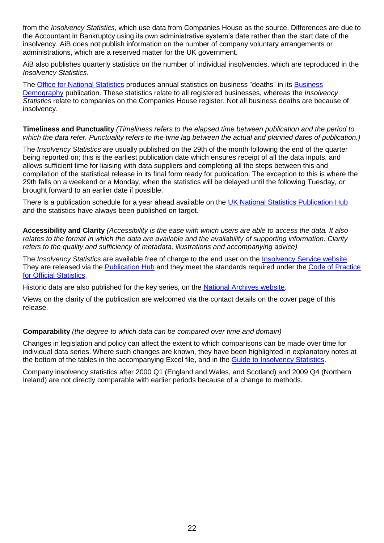from the *Insolvency Statistics*, which use data from Companies House as the source. Differences are due to the Accountant in Bankruptcy using its own administrative system's date rather than the start date of the insolvency. AiB does not publish information on the number of company voluntary arrangements or administrations, which are a reserved matter for the UK government.

AiB also publishes quarterly statistics on the number of individual insolvencies, which are reproduced in the *Insolvency Statistics*.

The [Office for National Statistics](http://www.ons.gov.uk/ons/index.html) produces annual statistics on business "deaths" in its [Business](http://www.ons.gov.uk/ons/rel/bus-register/business-demography/index.html)  [Demography](http://www.ons.gov.uk/ons/rel/bus-register/business-demography/index.html) publication. These statistics relate to all registered businesses, whereas the *Insolvency Statistics* relate to companies on the Companies House register. Not all business deaths are because of insolvency.

#### **Timeliness and Punctuality** *(Timeliness refers to the elapsed time between publication and the period to which the data refer. Punctuality refers to the time lag between the actual and planned dates of publication.)*

The *Insolvency Statistics* are usually published on the 29th of the month following the end of the quarter being reported on; this is the earliest publication date which ensures receipt of all the data inputs, and allows sufficient time for liaising with data suppliers and completing all the steps between this and compilation of the statistical release in its final form ready for publication. The exception to this is where the 29th falls on a weekend or a Monday, when the statistics will be delayed until the following Tuesday, or brought forward to an earlier date if possible.

There is a publication schedule for a year ahead available on the [UK National Statistics Publication Hub](https://www.gov.uk/government/statistics/announcements?utf8=%E2%9C%93&keywords=&topics%5B%5D=&organisations%5B%5D=insolvency-service&from_date=&to_date=&commit=Refresh+results) and the statistics have always been published on target.

**Accessibility and Clarity** *(Accessibility is the ease with which users are able to access the data. It also relates to the format in which the data are available and the availability of supporting information. Clarity refers to the quality and sufficiency of metadata, illustrations and accompanying advice)*

The *Insolvency Statistics* are available free of charge to the end user on the [Insolvency Service website.](https://www.gov.uk/government/collections/insolvency-service-official-statistics) They are released via the [Publication Hub](https://www.gov.uk/government/statistics/announcements?utf8=%E2%9C%93&keywords=&topics%5B%5D=&organisations%5B%5D=insolvency-service&from_date=&to_date=&commit=Refresh+results) and they meet the standards required under the Code of Practice [for Official Statistics.](http://www.statisticsauthority.gov.uk/assessment/code-of-practice/index.html)

Historic data are also published for the key series, on the [National Archives website.](http://webarchive.nationalarchives.gov.uk/20140311023846/http:/bis.gov.uk/insolvency/About-us/our-performance-statistics/insolvency-statistics)

Views on the clarity of the publication are welcomed via the contact details on the cover page of this release.

#### **Comparability** *(the degree to which data can be compared over time and domain)*

Changes in legislation and policy can affect the extent to which comparisons can be made over time for individual data series. Where such changes are known, they have been highlighted in explanatory notes at the bottom of the tables in the accompanying Excel file, and in the [Guide to Insolvency Statistics.](https://www.gov.uk/government/collections/insolvency-service-official-statistics)

Company insolvency statistics after 2000 Q1 (England and Wales, and Scotland) and 2009 Q4 (Northern Ireland) are not directly comparable with earlier periods because of a change to methods.